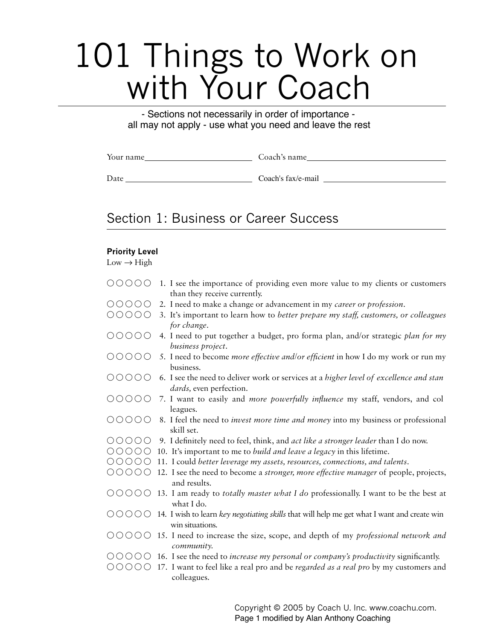# 101 Things to Work on with Your Coach

- Sections not necessarily in order of importance all may not apply - use what you need and leave the rest

| Your name | , name<br>эя с |
|-----------|----------------|
|           |                |

\$ATE Coach's fax/e-mail

# Section 1: Business or Career Success

#### **Priority Level**

|                                                                        | OOOOO 1. I see the importance of providing even more value to my clients or customers<br>than they receive currently.                                   |
|------------------------------------------------------------------------|---------------------------------------------------------------------------------------------------------------------------------------------------------|
| 00000                                                                  | 2. I need to make a change or advancement in my career or profession.                                                                                   |
| $\begin{array}{ccc} \circ & \circ & \circ & \circ & \circ \end{array}$ | 3. It's important to learn how to better prepare my staff, customers, or colleagues<br>for change.                                                      |
| 00000                                                                  | 4. I need to put together a budget, pro forma plan, and/or strategic plan for my<br>business project.                                                   |
| $\circ \circ \circ \circ \circ \circ$                                  | 5. I need to become <i>more effective and/or efficient</i> in how I do my work or run my<br>business.                                                   |
| 00000                                                                  | 6. I see the need to deliver work or services at a higher level of excellence and stan<br><i>dards</i> , even perfection.                               |
| $\circ \circ \circ \circ \circ \circ$                                  | 7. I want to easily and more powerfully influence my staff, vendors, and col<br>leagues.                                                                |
| 00000                                                                  | 8. I feel the need to <i>invest more time and money</i> into my business or professional<br>skill set.                                                  |
| 00000                                                                  | 9. I definitely need to feel, think, and act like a stronger leader than I do now.                                                                      |
|                                                                        | $\circ$ $\circ$ $\circ$ $\circ$ $\circ$ 10. It's important to me to <i>build and leave a legacy</i> in this lifetime.                                   |
|                                                                        | $\circ$ $\circ$ $\circ$ $\circ$ 0 $\circ$ 11. I could better leverage my assets, resources, connections, and talents.                                   |
|                                                                        | $\bigcirc$ $\bigcirc$ $\bigcirc$ $\bigcirc$ 12. I see the need to become a <i>stronger, more effective manager</i> of people, projects,<br>and results. |
|                                                                        | $\bigcirc$ $\bigcirc$ $\bigcirc$ $\bigcirc$ 13. I am ready to <i>totally master what I do</i> professionally. I want to be the best at<br>what I do.    |
|                                                                        | ○○○○○ 14. I wish to learn key negotiating skills that will help me get what I want and create win<br>win situations.                                    |
| ◯                                                                      | $\circ$ $\circ$ $\circ$ 0 15. I need to increase the size, scope, and depth of my <i>professional network and</i><br>community.                         |
|                                                                        | $\circ$ OOOO 16. I see the need to increase my personal or company's productivity significantly.                                                        |
| $\bigcirc$<br>$\bigcirc$                                               | 17. I want to feel like a real pro and be regarded as a real pro by my customers and<br>colleagues.                                                     |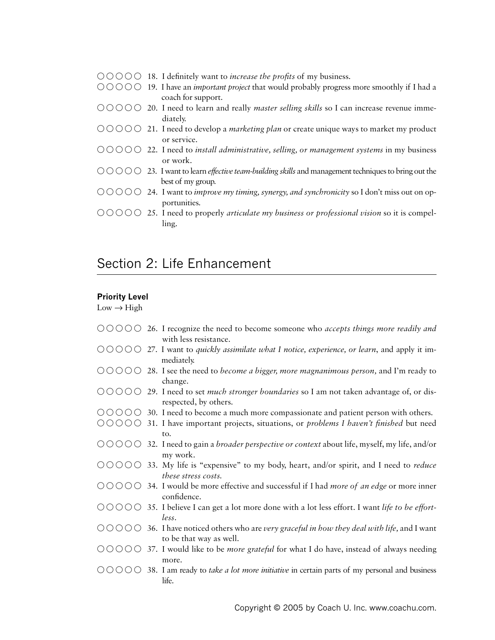- $\circ$   $\circ$   $\circ$   $\circ$   $\circ$  18. I definitely want to *increase the profits* of my business.
- $\circ$   $\circ$   $\circ$   $\circ$   $\circ$  19. I have an *important project* that would probably progress more smoothly if I had a coach for support.
- $\circ$   $\circ$   $\circ$   $\circ$   $\circ$  20. I need to learn and really *master selling skills* so I can increase revenue immediately.
- $\circ$   $\circ$   $\circ$   $\circ$   $\circ$  21. I need to develop a *marketing plan* or create unique ways to market my product or service.
- 55555h ) NEED TO *INSTALL ADMINISTRATIVE SELLING OR MANAGEMENT SYSTEMS* IN MY BUSINESS or work.
- $\circ$   $\circ$   $\circ$   $\circ$   $\circ$  23. I want to learn *effective team-building skills* and management techniques to bring out the best of my group.
- $\bigcirc$   $\bigcirc$   $\bigcirc$   $\bigcirc$  24. I want to *improve my timing, synergy, and <i>synchronicity* so I don't miss out on opportunities.
- 55555h ) NEED TO PROPERLY *ARTICULATE MY BUSINESS OR PROFESSIONAL VISION* SO IT IS COMPEL ling.

# Section 2: Life Enhancement

### **Priority Level**

- $\bigcirc$   $\bigcirc$   $\bigcirc$   $\bigcirc$  26. I recognize the need to become someone who *accepts things more readily and* with less resistance.
- $\bigcirc$   $\bigcirc$   $\bigcirc$   $\bigcirc$  27. I want to *quickly assimilate what* I notice, experience, or learn, and apply it immediately.
- $\circ$   $\circ$   $\circ$   $\circ$   $\circ$  28. I see the need to *become a bigger, more magnanimous person*, and I'm ready to change.
- $\circ$   $\circ$   $\circ$   $\circ$   $\circ$  29. I need to set *much stronger boundaries* so I am not taken advantage of, or disrespected, by others.
- $\circ$   $\circ$   $\circ$   $\circ$   $\circ$  30. I need to become a much more compassionate and patient person with others.
- $\bigcirc$   $\bigcirc$   $\bigcirc$   $\bigcirc$  31. I have important projects, situations, or *problems I haven't finished* but need  $to$ .
- $\circ$   $\circ$   $\circ$   $\circ$   $\circ$   $\circ$  32. I need to gain a *broader perspective or context* about life, myself, my life, and/or my work.
- $\circ$   $\circ$   $\circ$   $\circ$   $\circ$  33. My life is "expensive" to my body, heart, and/or spirit, and I need to *reduce these stress costs.*
- $\circ$   $\circ$   $\circ$   $\circ$   $\circ$  34. I would be more effective and successful if I had *more of an edge* or more inner confidence.
- $\bigcirc$   $\bigcirc$   $\bigcirc$   $\bigcirc$  35. I believe I can get a lot more done with a lot less effort. I want *life to be effort*-*LESS*
- $\bigcirc$   $\bigcirc$   $\bigcirc$   $\bigcirc$   $\bigcirc$  36. I have noticed others who are *very graceful in how they deal with life*, and I want to be that way as well.
- OOOOO 37. I would like to be *more grateful* for what I do have, instead of always needing more.
- $\circ$   $\circ$   $\circ$   $\circ$   $\circ$   $\circ$  38. I am ready to *take a lot more initiative* in certain parts of my personal and business life.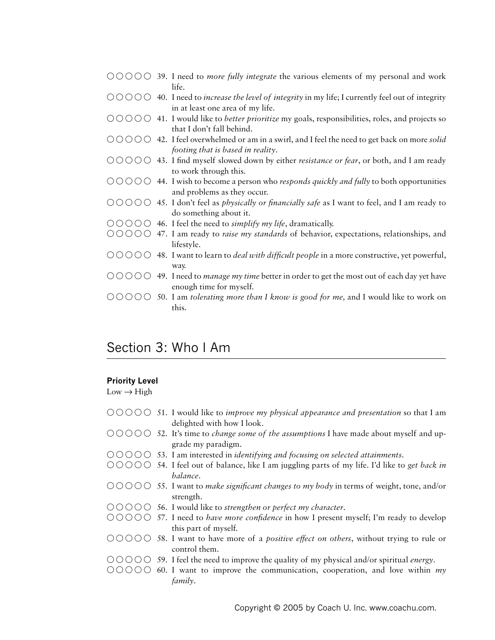- $\circ$   $\circ$   $\circ$   $\circ$   $\circ$   $\circ$  *S9. I need to more fully integrate the various elements of my personal and work* life.
- $\circ$   $\circ$   $\circ$   $\circ$   $\circ$   $\circ$  40. I need to *increase the level of integrity* in my life; I currently feel out of integrity in at least one area of my life.
- $\circ$   $\circ$  500  $\circ$  41. I would like to *better prioritize* my goals, responsibilities, roles, and projects so that I don't fall behind.
- $\overline{0}$   $\overline{0}$   $\overline{0}$   $\overline{0}$   $\overline{0}$  42. I feel overwhelmed or am in a swirl, and I feel the need to get back on more *solid footing that is based in reality.*
- $\bigcirc$   $\bigcirc$   $\bigcirc$   $\bigcirc$   $\bigcirc$  43. I find myself slowed down by either *resistance or fear*, or both, and I am ready to work through this.
- $\bigcirc$   $\bigcirc$   $\bigcirc$   $\bigcirc$  44. I wish to become a person who *responds quickly and fully* to both opportunities and problems as they occur.
- $\circ$   $\circ$   $\circ$   $\circ$   $\circ$   $\circ$  45. I don't feel as *physically or financially safe* as I want to feel, and I am ready to do something about it.
- $\bigcirc$   $\bigcirc$   $\bigcirc$   $\bigcirc$   $\bigcirc$  46. I feel the need to *simplify my life*, dramatically.
- $\circ$   $\circ$   $\circ$   $\circ$   $\circ$  47. I am ready to *raise my standards* of behavior, expectations, relationships, and lifestyle.
- $\bigcirc$   $\bigcirc$   $\bigcirc$   $\bigcirc$   $\bigcirc$  48. I want to learn to *deal with difficult people* in a more constructive, yet powerful, WAY
- $\circ$   $\circ$   $\circ$   $\circ$   $\circ$   $\circ$  49. I need to *manage my time* better in order to get the most out of each day yet have enough time for myself.
- $\bigcirc$   $\bigcirc$   $\bigcirc$   $\bigcirc$  50. I am *tolerating more than I know is good for <i>me*, and I would like to work on this.

## Section 3: Who I Am

#### **Priority Level**

- $\overline{0}$   $\overline{0}$   $\overline{0}$   $\overline{0}$  51. I would like to *improve my physical appearance and presentation* so that I am delighted with how I look.
- $\circ$   $\circ$   $\circ$   $\circ$   $\circ$  52. It's time to *change some of the assumptions* I have made about myself and upgrade my paradigm.
- 55555h ) AM INTERESTED IN *IDENTIFYING AND FOCUSING ON SELECTED ATTAINMENTS*
- $\bigcirc$   $\bigcirc$   $\bigcirc$   $\bigcirc$  54. I feel out of balance, like I am juggling parts of my life. I'd like to *get back in BALANCE*
- $\overline{0}$   $\overline{0}$   $\overline{0}$   $\overline{0}$  55. I want to *make significant changes to my body* in terms of weight, tone, and/or strength.
- 55555h ) WOULD LIKE TO *STRENGTHEN OR PERFECT MY CHARACTER*
- $\bigcirc$   $\bigcirc$   $\bigcirc$   $\bigcirc$  57. I need to *have more confidence* in how I present myself; I'm ready to develop this part of myself.
- $\circ$   $\circ$   $\circ$   $\circ$   $\circ$  58. I want to have more of a *positive effect on others*, without trying to rule or control them.
- $\circ$   $\circ$   $\circ$   $\circ$   $\circ$  59. I feel the need to improve the quality of my physical and/or spiritual *energy*.
- $\circ$   $\circ$   $\circ$   $\circ$   $\circ$  60. I want to improve the communication, cooperation, and love within *my FAMILY*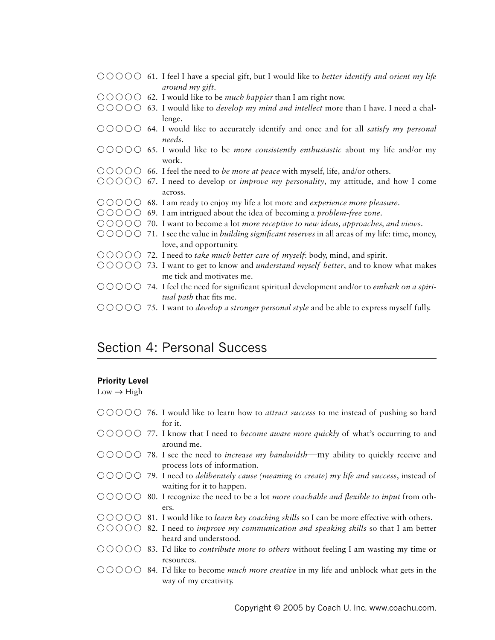- $\bigcirc$   $\bigcirc$   $\bigcirc$   $\bigcirc$  61. I feel I have a special gift, but I would like to *better identify and orient my life around my gift*.
- 55555h ) WOULD LIKE TO BE *MUCH HAPPIER* THAN ) AM RIGHT NOW
- $\bigcirc$   $\bigcirc$   $\bigcirc$   $\bigcirc$  63. I would like to *develop my mind and intellect* more than I have. I need a challenge.
- 55555h ) WOULD LIKE TO ACCURATELY IDENTIFY AND ONCE AND FOR ALL *SATISFY MY PERSONAL* needs.
- $\bigcirc$   $\bigcirc$   $\bigcirc$   $\bigcirc$  65. I would like to be *more consistently enthusiastic* about my life and/or my work.
- $\bigcirc$   $\bigcirc$   $\bigcirc$   $\bigcirc$  66. I feel the need to *be more at peace* with myself, life, and/or others.
- $\circ$   $\circ$   $\circ$   $\circ$   $\circ$  57. I need to develop or *improve my personality*, my attitude, and how I come across.
- 55555h ) AM READY TO ENJOY MY LIFE A LOT MORE AND *EXPERIENCE MORE PLEASURE*
- OOOO 69. I am intrigued about the idea of becoming a *problem-free zone*.
- $\bigcirc$   $\bigcirc$   $\bigcirc$   $\bigcirc$  70. I want to become a lot *more receptive to new ideas, approaches, and views.*
- $\bigcirc$   $\bigcirc$   $\bigcirc$   $\bigcirc$  71. I see the value in *building significant reserves* in all areas of my life: time, money, love, and opportunity.
- $\overline{0}$   $\overline{0}$   $\overline{0}$   $\overline{0}$   $\overline{0}$   $\overline{0}$  *T2*. I need to take much better care of myself: body, mind, and spirit.
- $\bigcirc$   $\bigcirc$   $\bigcirc$   $\bigcirc$  73. I want to get to know and *understand myself better*, and to know what makes me tick and motivates me.
- $\bigcirc$   $\bigcirc$   $\bigcirc$   $\bigcirc$   $\bigcirc$  74. I feel the need for significant spiritual development and/or to *embark* on a spiri*tual path* that fits me.
- $\bigcirc$   $\bigcirc$   $\bigcirc$   $\bigcirc$  75. I want to *develop a stronger personal style* and be able to express myself fully.

## Section 4: Personal Success

#### **Priority Level**

- $\circ$   $\circ$   $\circ$   $\circ$   $\circ$  76. I would like to learn how to *attract success* to me instead of pushing so hard for it.
- $\overline{0}$   $\overline{0}$   $\overline{0}$   $\overline{0}$  77. I know that I need to *become aware more quickly* of what's occurring to and around me.
- $\bigcirc$   $\bigcirc$   $\bigcirc$   $\bigcirc$  78. I see the need to *increase my bandwidth*—my ability to quickly receive and process lots of information.
- $\bigcirc$   $\bigcirc$   $\bigcirc$   $\bigcirc$  79. I need to *deliberately cause (meaning to create) my life and success*, instead of waiting for it to happen.
- $\bigcirc$   $\bigcirc$   $\bigcirc$   $\bigcirc$  80. I recognize the need to be a lot *more coachable and flexible to input* from others.
- $\circ$   $\circ$   $\circ$   $\circ$   $\circ$  81. I would like to *learn key coaching skills* so I can be more effective with others.
- $\bigcirc$   $\bigcirc$   $\bigcirc$   $\bigcirc$  82. I need to *improve my communication and speaking skills* so that I am better heard and understood.
- 55555h )D LIKE TO *CONTRIBUTE MORE TO OTHERS* WITHOUT FEELING ) AM WASTING MY TIME OR resources.
- $\bigcirc$   $\bigcirc$   $\bigcirc$   $\bigcirc$  84. I'd like to become *much more creative* in my life and unblock what gets in the way of my creativity.